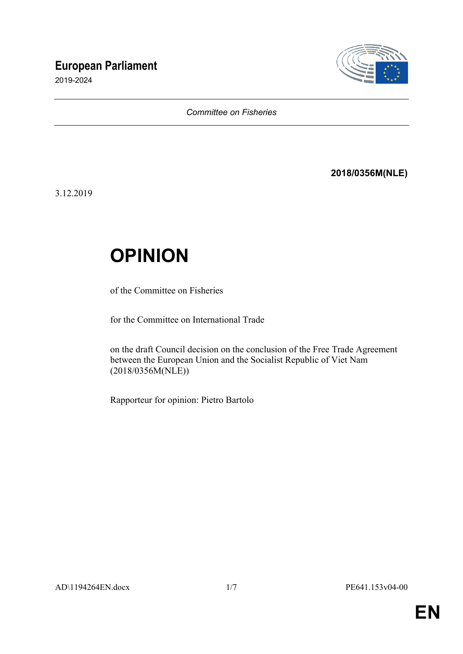## **European Parliament**

2019-2024



#### *Committee on Fisheries*

### **2018/0356M(NLE)**

3.12.2019

# **OPINION**

of the Committee on Fisheries

for the Committee on International Trade

on the draft Council decision on the conclusion of the Free Trade Agreement between the European Union and the Socialist Republic of Viet Nam (2018/0356M(NLE))

Rapporteur for opinion: Pietro Bartolo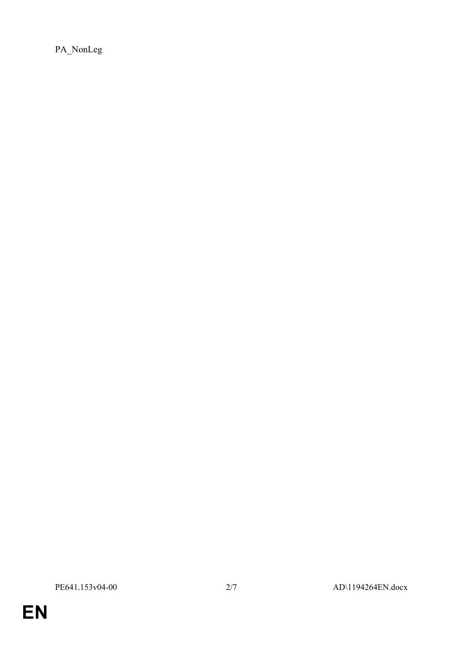PA\_NonLeg

**EN**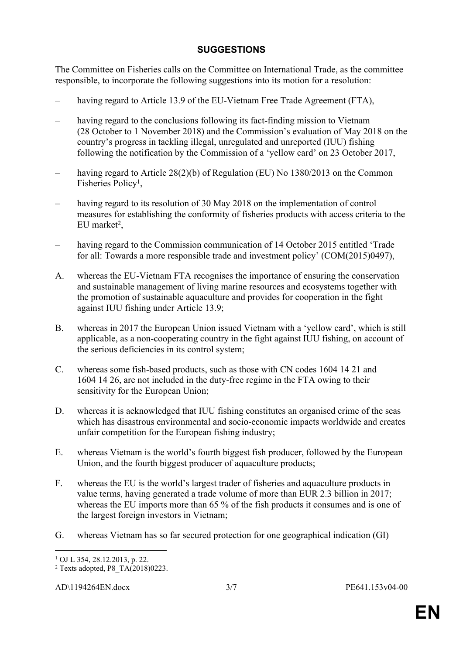### **SUGGESTIONS**

The Committee on Fisheries calls on the Committee on International Trade, as the committee responsible, to incorporate the following suggestions into its motion for a resolution:

- having regard to Article 13.9 of the EU-Vietnam Free Trade Agreement (FTA),
- having regard to the conclusions following its fact-finding mission to Vietnam (28 October to 1 November 2018) and the Commission's evaluation of May 2018 on the country's progress in tackling illegal, unregulated and unreported (IUU) fishing following the notification by the Commission of a 'yellow card' on 23 October 2017,
- having regard to Article 28(2)(b) of Regulation (EU) No 1380/2013 on the Common Fisheries Policy<sup>1</sup>,
- having regard to its resolution of 30 May 2018 on the implementation of control measures for establishing the conformity of fisheries products with access criteria to the  $EU$  market<sup>2</sup>,
- having regard to the Commission communication of 14 October 2015 entitled 'Trade for all: Towards a more responsible trade and investment policy' (COM(2015)0497),
- A. whereas the EU-Vietnam FTA recognises the importance of ensuring the conservation and sustainable management of living marine resources and ecosystems together with the promotion of sustainable aquaculture and provides for cooperation in the fight against IUU fishing under Article 13.9;
- B. whereas in 2017 the European Union issued Vietnam with a 'yellow card', which is still applicable, as a non-cooperating country in the fight against IUU fishing, on account of the serious deficiencies in its control system;
- C. whereas some fish-based products, such as those with CN codes 1604 14 21 and 1604 14 26, are not included in the duty-free regime in the FTA owing to their sensitivity for the European Union;
- D. whereas it is acknowledged that IUU fishing constitutes an organised crime of the seas which has disastrous environmental and socio-economic impacts worldwide and creates unfair competition for the European fishing industry;
- E. whereas Vietnam is the world's fourth biggest fish producer, followed by the European Union, and the fourth biggest producer of aquaculture products;
- F. whereas the EU is the world's largest trader of fisheries and aquaculture products in value terms, having generated a trade volume of more than EUR 2.3 billion in 2017; whereas the EU imports more than 65 % of the fish products it consumes and is one of the largest foreign investors in Vietnam;
- G. whereas Vietnam has so far secured protection for one geographical indication (GI)

<sup>1</sup> OJ L 354, 28.12.2013, p. 22.

<sup>2</sup> Texts adopted, P8\_TA(2018)0223.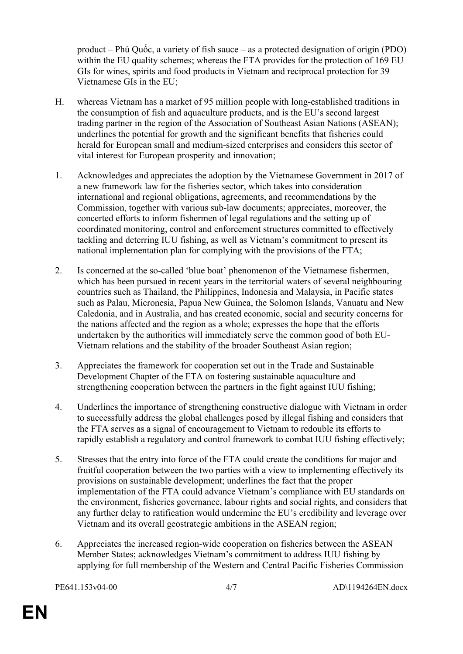product – Phú Quốc, a variety of fish sauce – as a protected designation of origin (PDO) within the EU quality schemes; whereas the FTA provides for the protection of 169 EU GIs for wines, spirits and food products in Vietnam and reciprocal protection for 39 Vietnamese GIs in the EU;

- H. whereas Vietnam has a market of 95 million people with long-established traditions in the consumption of fish and aquaculture products, and is the EU's second largest trading partner in the region of the Association of Southeast Asian Nations (ASEAN); underlines the potential for growth and the significant benefits that fisheries could herald for European small and medium-sized enterprises and considers this sector of vital interest for European prosperity and innovation;
- 1. Acknowledges and appreciates the adoption by the Vietnamese Government in 2017 of a new framework law for the fisheries sector, which takes into consideration international and regional obligations, agreements, and recommendations by the Commission, together with various sub-law documents; appreciates, moreover, the concerted efforts to inform fishermen of legal regulations and the setting up of coordinated monitoring, control and enforcement structures committed to effectively tackling and deterring IUU fishing, as well as Vietnam's commitment to present its national implementation plan for complying with the provisions of the FTA;
- 2. Is concerned at the so-called 'blue boat' phenomenon of the Vietnamese fishermen, which has been pursued in recent years in the territorial waters of several neighbouring countries such as Thailand, the Philippines, Indonesia and Malaysia, in Pacific states such as Palau, Micronesia, Papua New Guinea, the Solomon Islands, Vanuatu and New Caledonia, and in Australia, and has created economic, social and security concerns for the nations affected and the region as a whole; expresses the hope that the efforts undertaken by the authorities will immediately serve the common good of both EU-Vietnam relations and the stability of the broader Southeast Asian region;
- 3. Appreciates the framework for cooperation set out in the Trade and Sustainable Development Chapter of the FTA on fostering sustainable aquaculture and strengthening cooperation between the partners in the fight against IUU fishing;
- 4. Underlines the importance of strengthening constructive dialogue with Vietnam in order to successfully address the global challenges posed by illegal fishing and considers that the FTA serves as a signal of encouragement to Vietnam to redouble its efforts to rapidly establish a regulatory and control framework to combat IUU fishing effectively;
- 5. Stresses that the entry into force of the FTA could create the conditions for major and fruitful cooperation between the two parties with a view to implementing effectively its provisions on sustainable development; underlines the fact that the proper implementation of the FTA could advance Vietnam's compliance with EU standards on the environment, fisheries governance, labour rights and social rights, and considers that any further delay to ratification would undermine the EU's credibility and leverage over Vietnam and its overall geostrategic ambitions in the ASEAN region;
- 6. Appreciates the increased region-wide cooperation on fisheries between the ASEAN Member States; acknowledges Vietnam's commitment to address IUU fishing by applying for full membership of the Western and Central Pacific Fisheries Commission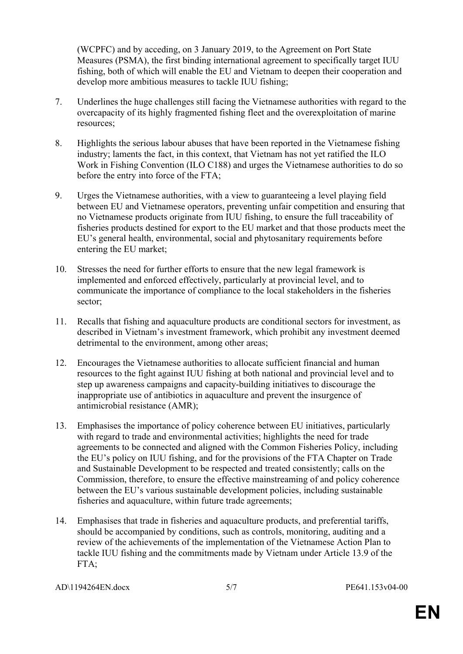(WCPFC) and by acceding, on 3 January 2019, to the Agreement on Port State Measures (PSMA), the first binding international agreement to specifically target IUU fishing, both of which will enable the EU and Vietnam to deepen their cooperation and develop more ambitious measures to tackle IUU fishing;

- 7. Underlines the huge challenges still facing the Vietnamese authorities with regard to the overcapacity of its highly fragmented fishing fleet and the overexploitation of marine resources;
- 8. Highlights the serious labour abuses that have been reported in the Vietnamese fishing industry; laments the fact, in this context, that Vietnam has not yet ratified the ILO Work in Fishing Convention (ILO C188) and urges the Vietnamese authorities to do so before the entry into force of the FTA;
- 9. Urges the Vietnamese authorities, with a view to guaranteeing a level playing field between EU and Vietnamese operators, preventing unfair competition and ensuring that no Vietnamese products originate from IUU fishing, to ensure the full traceability of fisheries products destined for export to the EU market and that those products meet the EU's general health, environmental, social and phytosanitary requirements before entering the EU market;
- 10. Stresses the need for further efforts to ensure that the new legal framework is implemented and enforced effectively, particularly at provincial level, and to communicate the importance of compliance to the local stakeholders in the fisheries sector;
- 11. Recalls that fishing and aquaculture products are conditional sectors for investment, as described in Vietnam's investment framework, which prohibit any investment deemed detrimental to the environment, among other areas;
- 12. Encourages the Vietnamese authorities to allocate sufficient financial and human resources to the fight against IUU fishing at both national and provincial level and to step up awareness campaigns and capacity-building initiatives to discourage the inappropriate use of antibiotics in aquaculture and prevent the insurgence of antimicrobial resistance (AMR);
- 13. Emphasises the importance of policy coherence between EU initiatives, particularly with regard to trade and environmental activities; highlights the need for trade agreements to be connected and aligned with the Common Fisheries Policy, including the EU's policy on IUU fishing, and for the provisions of the FTA Chapter on Trade and Sustainable Development to be respected and treated consistently; calls on the Commission, therefore, to ensure the effective mainstreaming of and policy coherence between the EU's various sustainable development policies, including sustainable fisheries and aquaculture, within future trade agreements;
- 14. Emphasises that trade in fisheries and aquaculture products, and preferential tariffs, should be accompanied by conditions, such as controls, monitoring, auditing and a review of the achievements of the implementation of the Vietnamese Action Plan to tackle IUU fishing and the commitments made by Vietnam under Article 13.9 of the FTA:

```
AD\1194264EN.docx 5/7 PE641.153v04-00
```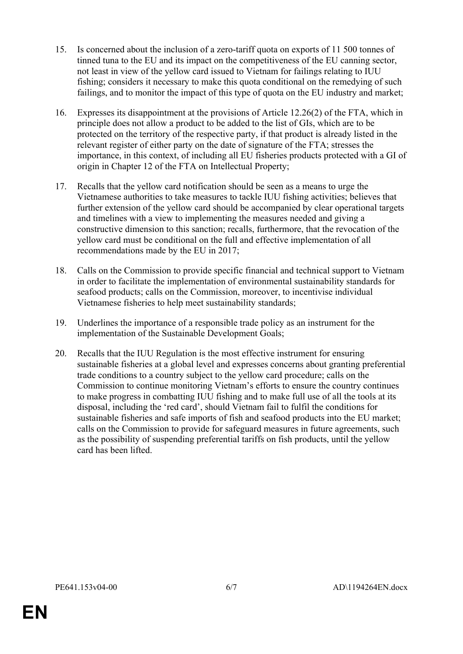- 15. Is concerned about the inclusion of a zero-tariff quota on exports of 11 500 tonnes of tinned tuna to the EU and its impact on the competitiveness of the EU canning sector, not least in view of the yellow card issued to Vietnam for failings relating to IUU fishing; considers it necessary to make this quota conditional on the remedying of such failings, and to monitor the impact of this type of quota on the EU industry and market;
- 16. Expresses its disappointment at the provisions of Article 12.26(2) of the FTA, which in principle does not allow a product to be added to the list of GIs, which are to be protected on the territory of the respective party, if that product is already listed in the relevant register of either party on the date of signature of the FTA; stresses the importance, in this context, of including all EU fisheries products protected with a GI of origin in Chapter 12 of the FTA on Intellectual Property;
- 17. Recalls that the yellow card notification should be seen as a means to urge the Vietnamese authorities to take measures to tackle IUU fishing activities; believes that further extension of the yellow card should be accompanied by clear operational targets and timelines with a view to implementing the measures needed and giving a constructive dimension to this sanction; recalls, furthermore, that the revocation of the yellow card must be conditional on the full and effective implementation of all recommendations made by the EU in 2017;
- 18. Calls on the Commission to provide specific financial and technical support to Vietnam in order to facilitate the implementation of environmental sustainability standards for seafood products; calls on the Commission, moreover, to incentivise individual Vietnamese fisheries to help meet sustainability standards;
- 19. Underlines the importance of a responsible trade policy as an instrument for the implementation of the Sustainable Development Goals;
- 20. Recalls that the IUU Regulation is the most effective instrument for ensuring sustainable fisheries at a global level and expresses concerns about granting preferential trade conditions to a country subject to the yellow card procedure; calls on the Commission to continue monitoring Vietnam's efforts to ensure the country continues to make progress in combatting IUU fishing and to make full use of all the tools at its disposal, including the 'red card', should Vietnam fail to fulfil the conditions for sustainable fisheries and safe imports of fish and seafood products into the EU market; calls on the Commission to provide for safeguard measures in future agreements, such as the possibility of suspending preferential tariffs on fish products, until the yellow card has been lifted.